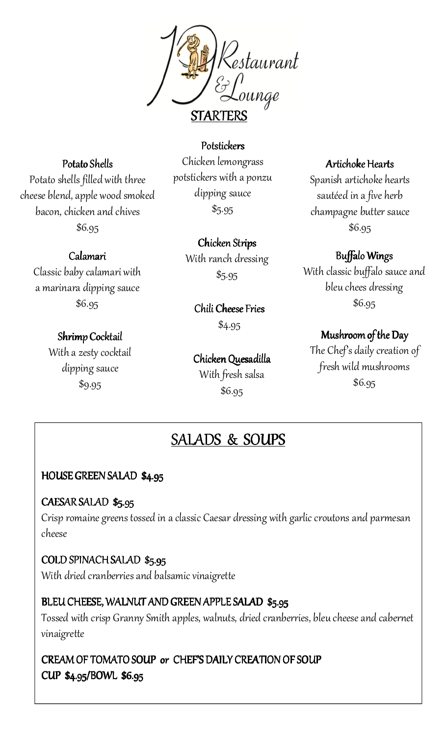

#### Potato Shells

Potato shells filled with three cheese blend, apple wood smoked bacon, chicken and chives \$6.95

#### Calamari

Classic baby calamari with a marinara dipping sauce \$6.95

#### Shrimp Cocktail

With a zesty cocktail dipping sauce \$9.95

Chicken lemongrass potstickers with a ponzu dipping sauce  $$5.95$ 

**Potstickers** 

Chicken Strips With ranch dressing

\$5.95

Chili Cheese Fries \$4.95

Chicken Quesadilla With fresh salsa \$6.95

#### Artichoke Hearts

Spanish artichoke hearts sautéed in a five herb champagne butter sauce \$6.95

#### Buffalo Wings

With classic buffalo sauce and bleu chees dressing \$6.95

#### Mushroom of the Day

The Chef's daily creation of fresh wild mushrooms \$6.95

### SALADS & & SOUPS

#### HOUSE GREEN SALAD \$4.95

#### CAESAR SALAD \$5.95

Crisp romaine greens tossed in a classic Caesar dressing with garlic croutons and parmesan cheese

#### COLD SPINACH SALAD \$5.95

With dried cranberries and balsamic vinaigrette

#### BLEU CHEESE, WALNUT AND GREEN APPLE SALAD \$5.95

Tossed with crisp Granny Smith apples, walnuts, dried cranberries, bleu cheese and cabernet vinaigrette

CREAM OF TOMATO SOUP or CHEF'S DAILY CREATION OF SOUP CUP \$4.95/BOWL \$6.95